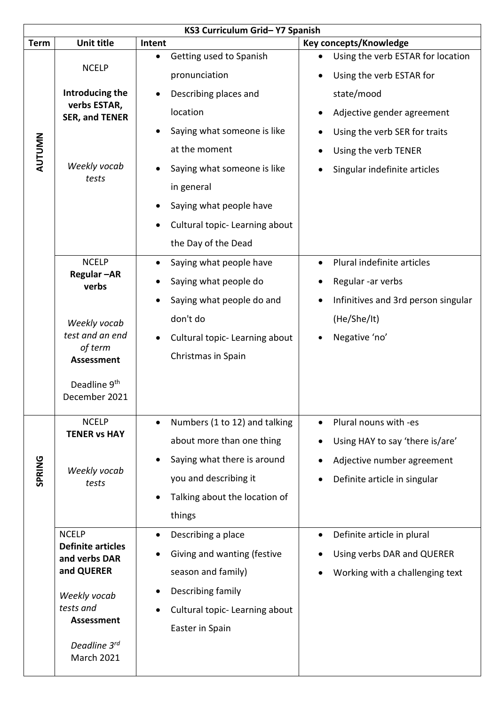| KS3 Curriculum Grid-Y7 Spanish |                                                              |                                                                                                           |  |  |  |  |  |  |
|--------------------------------|--------------------------------------------------------------|-----------------------------------------------------------------------------------------------------------|--|--|--|--|--|--|
| <b>Term</b>                    | <b>Unit title</b>                                            | Key concepts/Knowledge<br>Intent                                                                          |  |  |  |  |  |  |
| <b>AUTUMN</b>                  | <b>NCELP</b>                                                 | Getting used to Spanish<br>Using the verb ESTAR for location<br>pronunciation<br>Using the verb ESTAR for |  |  |  |  |  |  |
|                                | Introducing the                                              | state/mood<br>Describing places and                                                                       |  |  |  |  |  |  |
|                                | verbs ESTAR,<br><b>SER, and TENER</b>                        | location<br>Adjective gender agreement                                                                    |  |  |  |  |  |  |
|                                | Weekly vocab<br>tests                                        | Saying what someone is like<br>Using the verb SER for traits                                              |  |  |  |  |  |  |
|                                |                                                              | at the moment<br>Using the verb TENER                                                                     |  |  |  |  |  |  |
|                                |                                                              | Saying what someone is like<br>Singular indefinite articles                                               |  |  |  |  |  |  |
|                                |                                                              | in general                                                                                                |  |  |  |  |  |  |
|                                |                                                              | Saying what people have                                                                                   |  |  |  |  |  |  |
|                                |                                                              | Cultural topic-Learning about                                                                             |  |  |  |  |  |  |
|                                |                                                              | the Day of the Dead                                                                                       |  |  |  |  |  |  |
|                                | <b>NCELP</b>                                                 | Plural indefinite articles<br>Saying what people have                                                     |  |  |  |  |  |  |
|                                | Regular-AR<br>verbs                                          | Saying what people do<br>Regular -ar verbs                                                                |  |  |  |  |  |  |
|                                |                                                              | Saying what people do and<br>Infinitives and 3rd person singular<br>$\bullet$                             |  |  |  |  |  |  |
|                                | Weekly vocab                                                 | don't do<br>(He/She/It)                                                                                   |  |  |  |  |  |  |
|                                | test and an end                                              | Negative 'no'<br>Cultural topic-Learning about                                                            |  |  |  |  |  |  |
|                                | of term                                                      | Christmas in Spain                                                                                        |  |  |  |  |  |  |
|                                | <b>Assessment</b>                                            |                                                                                                           |  |  |  |  |  |  |
|                                | Deadline 9th<br>December 2021                                |                                                                                                           |  |  |  |  |  |  |
|                                | <b>NCELP</b><br><b>TENER vs HAY</b><br>Weekly vocab<br>tests | Numbers (1 to 12) and talking<br>Plural nouns with -es<br>$\bullet$<br>$\bullet$                          |  |  |  |  |  |  |
|                                |                                                              | about more than one thing<br>Using HAY to say 'there is/are'                                              |  |  |  |  |  |  |
|                                |                                                              | Saying what there is around<br>Adjective number agreement                                                 |  |  |  |  |  |  |
| SPRING                         |                                                              | you and describing it<br>Definite article in singular                                                     |  |  |  |  |  |  |
|                                |                                                              | Talking about the location of                                                                             |  |  |  |  |  |  |
|                                |                                                              | things                                                                                                    |  |  |  |  |  |  |
|                                | <b>NCELP</b>                                                 | Describing a place<br>Definite article in plural                                                          |  |  |  |  |  |  |
|                                | <b>Definite articles</b><br>and verbs DAR                    | Giving and wanting (festive<br>Using verbs DAR and QUERER                                                 |  |  |  |  |  |  |
|                                | and QUERER                                                   | season and family)<br>Working with a challenging text                                                     |  |  |  |  |  |  |
|                                | Weekly vocab                                                 | Describing family                                                                                         |  |  |  |  |  |  |
|                                | tests and                                                    | Cultural topic-Learning about                                                                             |  |  |  |  |  |  |
|                                | <b>Assessment</b>                                            | Easter in Spain                                                                                           |  |  |  |  |  |  |
|                                | Deadline 3rd<br><b>March 2021</b>                            |                                                                                                           |  |  |  |  |  |  |